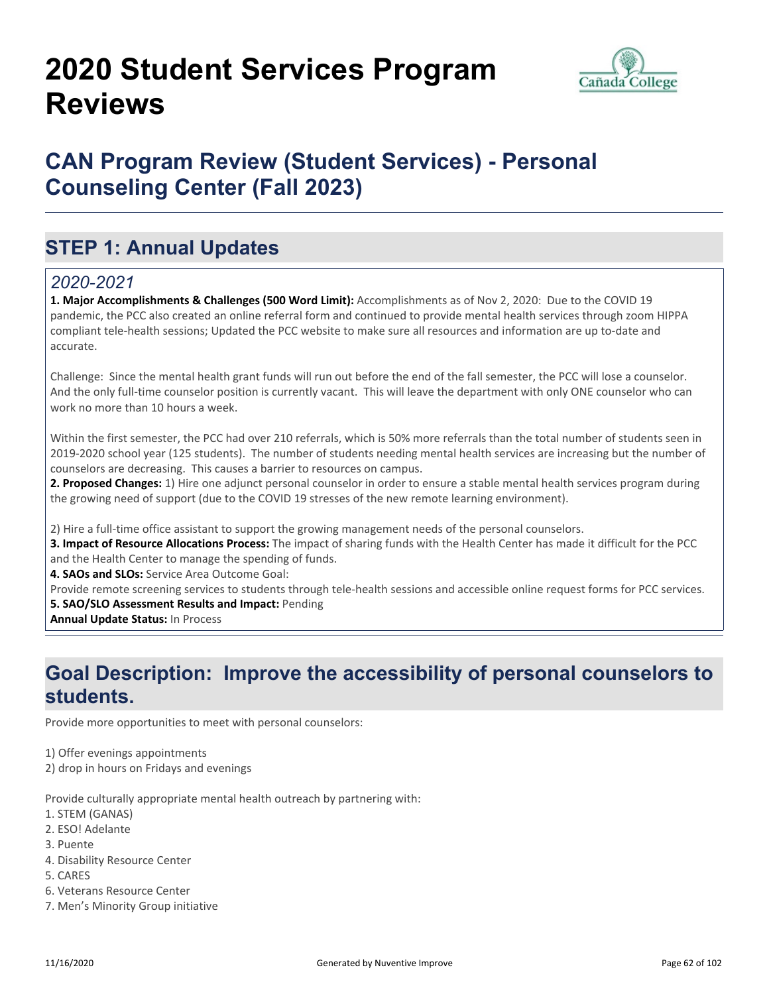# **2020 Student Services Program Reviews**



## **CAN Program Review (Student Services) - Personal Counseling Center (Fall 2023)**

## **STEP 1: Annual Updates**

### *2020-2021*

**1. Major Accomplishments & Challenges (500 Word Limit):** Accomplishments as of Nov 2, 2020: Due to the COVID 19 pandemic, the PCC also created an online referral form and continued to provide mental health services through zoom HIPPA compliant tele-health sessions; Updated the PCC website to make sure all resources and information are up to-date and accurate.

Challenge: Since the mental health grant funds will run out before the end of the fall semester, the PCC will lose a counselor. And the only full-time counselor position is currently vacant. This will leave the department with only ONE counselor who can work no more than 10 hours a week.

Within the first semester, the PCC had over 210 referrals, which is 50% more referrals than the total number of students seen in 2019-2020 school year (125 students). The number of students needing mental health services are increasing but the number of counselors are decreasing. This causes a barrier to resources on campus.

**2. Proposed Changes:** 1) Hire one adjunct personal counselor in order to ensure a stable mental health services program during the growing need of support (due to the COVID 19 stresses of the new remote learning environment).

2) Hire a full-time office assistant to support the growing management needs of the personal counselors.

**3. Impact of Resource Allocations Process:** The impact of sharing funds with the Health Center has made it difficult for the PCC and the Health Center to manage the spending of funds.

**4. SAOs and SLOs:** Service Area Outcome Goal:

Provide remote screening services to students through tele-health sessions and accessible online request forms for PCC services.

#### **5. SAO/SLO Assessment Results and Impact:** Pending

**Annual Update Status:** In Process

### **Goal Description: Improve the accessibility of personal counselors to students.**

Provide more opportunities to meet with personal counselors:

1) Offer evenings appointments

2) drop in hours on Fridays and evenings

Provide culturally appropriate mental health outreach by partnering with:

- 1. STEM (GANAS)
- 2. ESO! Adelante
- 3. Puente
- 4. Disability Resource Center
- 5. CARES
- 6. Veterans Resource Center
- 7. Men's Minority Group initiative